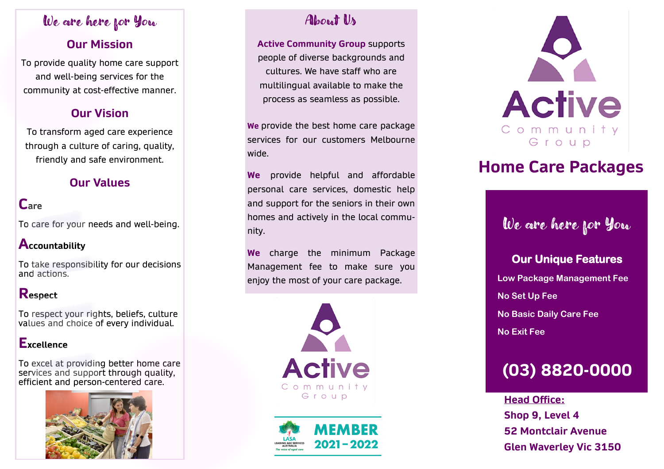## We are here for You

## **Our Mission**

To provide quality home care support and well-being services for the community at cost-effective manner.

## **Our Vision**

To transform aged care experience through a culture of caring, quality, friendly and safe environment.

## **Our Values**

## **Care**

To care for your needs and well-being.

### **Accountability**

To take responsibility for our decisions and actions.

### **Respect**

To respect your rights, beliefs, culture values and choice of every individual.

### **Excellence**

To excel at providing better home care services and support through quality, efficient and person-centered care.



## About Us

**Active Community Group** supports people of diverse backgrounds and cultures. We have staff who are multilingual available to make the process as seamless as possible.

**We** provide the best home care package services for our customers Melbourne wide.

**We** provide helpful and affordable personal care services, domestic help and support for the seniors in their own homes and actively in the local community.

**We** charge the minimum Package Management fee to make sure you enjoy the most of your care package.







# **Home Care Packages**

# We are here for You

## **Our Unique Features**

 **Low Package Management Fee No Set Up Fee**

 **No Basic Daily Care Fee**

 **No Exit Fee**

# **(03) 8820-0000**

**Head Office: Shop 9, Level 4 52 Montclair Avenue Glen Waverley Vic 3150**